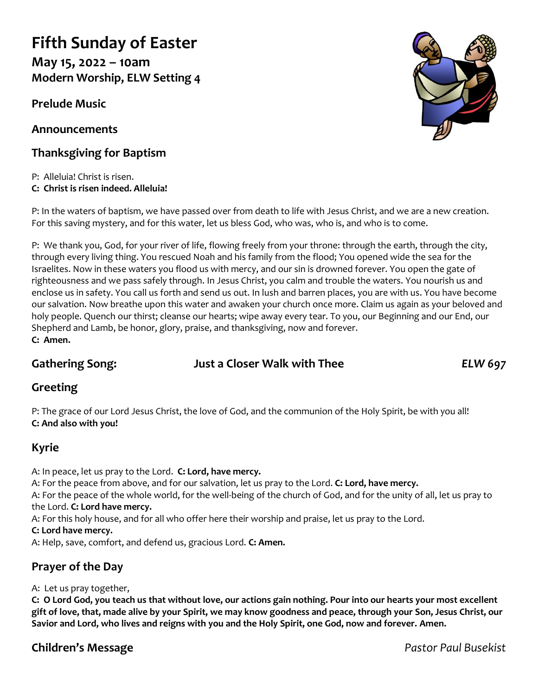# **Fifth Sunday of Easter**

**May 15, 2022 – 10am Modern Worship, ELW Setting 4**

**Prelude Music**

**Announcements**

## **Thanksgiving for Baptism**

P: Alleluia! Christ is risen. **C: Christ is risen indeed. Alleluia!**



P: In the waters of baptism, we have passed over from death to life with Jesus Christ, and we are a new creation. For this saving mystery, and for this water, let us bless God, who was, who is, and who is to come.

P: We thank you, God, for your river of life, flowing freely from your throne: through the earth, through the city, through every living thing. You rescued Noah and his family from the flood; You opened wide the sea for the Israelites. Now in these waters you flood us with mercy, and our sin is drowned forever. You open the gate of righteousness and we pass safely through. In Jesus Christ, you calm and trouble the waters. You nourish us and enclose us in safety. You call us forth and send us out. In lush and barren places, you are with us. You have become our salvation. Now breathe upon this water and awaken your church once more. Claim us again as your beloved and holy people. Quench our thirst; cleanse our hearts; wipe away every tear. To you, our Beginning and our End, our Shepherd and Lamb, be honor, glory, praise, and thanksgiving, now and forever. **C: Amen.**

#### **Gathering Song: Just a Closer Walk with Thee** *ELW 697*

## **Greeting**

P: The grace of our Lord Jesus Christ, the love of God, and the communion of the Holy Spirit, be with you all! **C: And also with you!**

## **Kyrie**

A: In peace, let us pray to the Lord. **C: Lord, have mercy.**

A: For the peace from above, and for our salvation, let us pray to the Lord. **C: Lord, have mercy.**

A: For the peace of the whole world, for the well-being of the church of God, and for the unity of all, let us pray to the Lord. **C: Lord have mercy.**

A: For this holy house, and for all who offer here their worship and praise, let us pray to the Lord.

#### **C: Lord have mercy.**

A: Help, save, comfort, and defend us, gracious Lord. **C: Amen.**

## **Prayer of the Day**

#### A: Let us pray together,

**C: O Lord God, you teach us that without love, our actions gain nothing. Pour into our hearts your most excellent gift of love, that, made alive by your Spirit, we may know goodness and peace, through your Son, Jesus Christ, our Savior and Lord, who lives and reigns with you and the Holy Spirit, one God, now and forever. Amen.**

## **Children's Message** *Pastor Paul Busekist*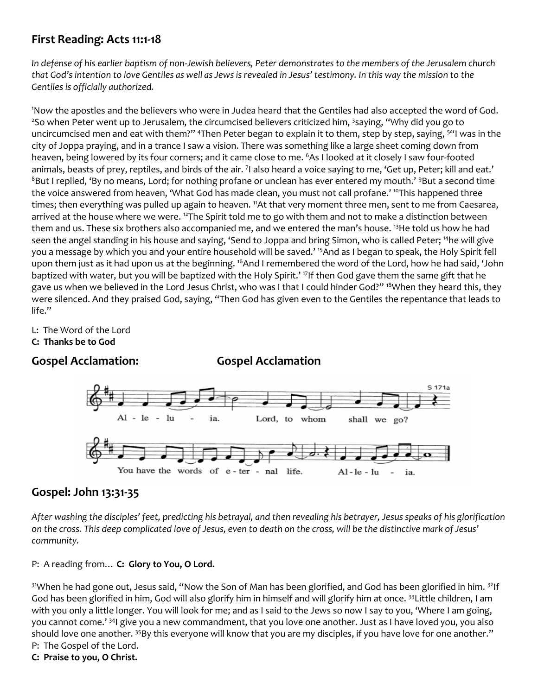## **First Reading: Acts 11:1-18**

*In defense of his earlier baptism of non-Jewish believers, Peter demonstrates to the members of the Jerusalem church that God's intention to love Gentiles as well as Jews is revealed in Jesus' testimony. In this way the mission to the Gentiles is officially authorized.*

<sup>1</sup>Now the apostles and the believers who were in Judea heard that the Gentiles had also accepted the word of God. <sup>2</sup>So when Peter went up to Jerusalem, the circumcised believers criticized him, <sup>3</sup>saying, "Why did you go to uncircumcised men and eat with them?" <sup>4</sup>Then Peter began to explain it to them, step by step, saying, <sup>54</sup>I was in the city of Joppa praying, and in a trance I saw a vision. There was something like a large sheet coming down from heaven, being lowered by its four corners; and it came close to me. <sup>6</sup>As I looked at it closely I saw four-footed animals, beasts of prey, reptiles, and birds of the air. <sup>7</sup>I also heard a voice saying to me, 'Get up, Peter; kill and eat.' <sup>8</sup>But I replied, 'By no means, Lord; for nothing profane or unclean has ever entered my mouth.' <sup>9</sup>But a second time the voice answered from heaven, 'What God has made clean, you must not call profane.' <sup>10</sup>This happened three times; then everything was pulled up again to heaven. <sup>11</sup>At that very moment three men, sent to me from Caesarea, arrived at the house where we were. <sup>12</sup>The Spirit told me to go with them and not to make a distinction between them and us. These six brothers also accompanied me, and we entered the man's house. <sup>13</sup>He told us how he had seen the angel standing in his house and saying, 'Send to Joppa and bring Simon, who is called Peter; <sup>14</sup>he will give you a message by which you and your entire household will be saved.<sup>' 15</sup>And as I began to speak, the Holy Spirit fell upon them just as it had upon us at the beginning. <sup>16</sup>And I remembered the word of the Lord, how he had said, 'John baptized with water, but you will be baptized with the Holy Spirit.' <sup>17</sup>If then God gave them the same gift that he gave us when we believed in the Lord Jesus Christ, who was I that I could hinder God?" <sup>18</sup>When they heard this, they were silenced. And they praised God, saying, "Then God has given even to the Gentiles the repentance that leads to life."

L: The Word of the Lord

#### **C: Thanks be to God**

**Gospel Acclamation: Gospel Acclamation**



#### **Gospel: John 13:31-35**

*After washing the disciples' feet, predicting his betrayal, and then revealing his betrayer, Jesus speaks of his glorification on the cross. This deep complicated love of Jesus, even to death on the cross, will be the distinctive mark of Jesus' community.*

P: A reading from… **C: Glory to You, O Lord.**

<sup>31</sup>When he had gone out, Jesus said, "Now the Son of Man has been glorified, and God has been glorified in him. <sup>32</sup>If God has been glorified in him, God will also glorify him in himself and will glorify him at once. <sup>33</sup>Little children, I am with you only a little longer. You will look for me; and as I said to the Jews so now I say to you, 'Where I am going, you cannot come.' <sup>34</sup>I give you a new commandment, that you love one another. Just as I have loved you, you also should love one another. <sup>35</sup>By this everyone will know that you are my disciples, if you have love for one another." P: The Gospel of the Lord.

**C: Praise to you, O Christ.**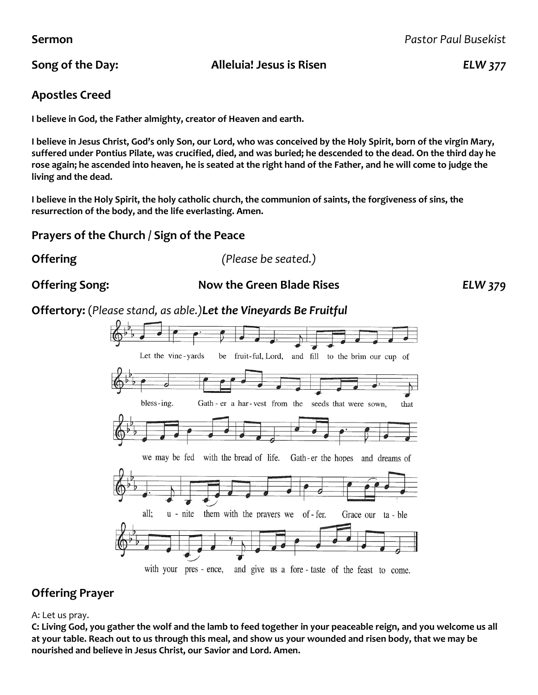**Song of the Day: Alleluia! Jesus is Risen** *ELW 377*

#### **Apostles Creed**

**I believe in God, the Father almighty, creator of Heaven and earth.** 

**I believe in Jesus Christ, God's only Son, our Lord, who was conceived by the Holy Spirit, born of the virgin Mary, suffered under Pontius Pilate, was crucified, died, and was buried; he descended to the dead. On the third day he rose again; he ascended into heaven, he is seated at the right hand of the Father, and he will come to judge the living and the dead.**

**I believe in the Holy Spirit, the holy catholic church, the communion of saints, the forgiveness of sins, the resurrection of the body, and the life everlasting. Amen.**

**Prayers of the Church / Sign of the Peace** 

**Offering** *(Please be seated.)*

**Offering Song: Now the Green Blade Rises** *ELW 379*

**Offertory:** (*Please stand, as able.)Let the Vineyards Be Fruitful*



## **Offering Prayer**

A: Let us pray.

**C: Living God, you gather the wolf and the lamb to feed together in your peaceable reign, and you welcome us all at your table. Reach out to us through this meal, and show us your wounded and risen body, that we may be nourished and believe in Jesus Christ, our Savior and Lord. Amen.**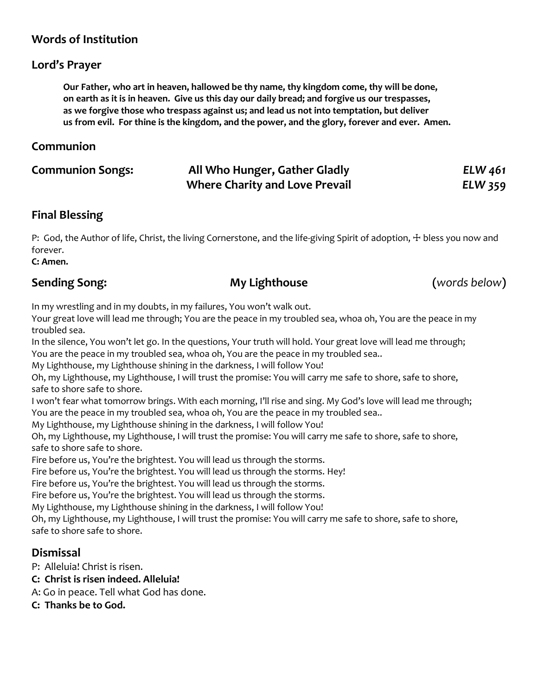#### **Words of Institution**

#### **Lord's Prayer**

**Our Father, who art in heaven, hallowed be thy name, thy kingdom come, thy will be done, on earth as it is in heaven. Give us this day our daily bread; and forgive us our trespasses, as we forgive those who trespass against us; and lead us not into temptation, but deliver us from evil. For thine is the kingdom, and the power, and the glory, forever and ever. Amen.**

#### **Communion**

| <b>Communion Songs:</b> | All Who Hunger, Gather Gladly         | <b>ELW 461</b> |
|-------------------------|---------------------------------------|----------------|
|                         | <b>Where Charity and Love Prevail</b> | <b>ELW 359</b> |

#### **Final Blessing**

P: God, the Author of life, Christ, the living Cornerstone, and the life-giving Spirit of adoption, ⊬ bless you now and forever.

**C: Amen.**

#### **Sending Song: My Lighthouse (***words below***)**

In my wrestling and in my doubts, in my failures, You won't walk out.

Your great love will lead me through; You are the peace in my troubled sea, whoa oh, You are the peace in my troubled sea.

In the silence, You won't let go. In the questions, Your truth will hold. Your great love will lead me through; You are the peace in my troubled sea, whoa oh, You are the peace in my troubled sea..

My Lighthouse, my Lighthouse shining in the darkness, I will follow You!

Oh, my Lighthouse, my Lighthouse, I will trust the promise: You will carry me safe to shore, safe to shore, safe to shore safe to shore.

I won't fear what tomorrow brings. With each morning, I'll rise and sing. My God's love will lead me through; You are the peace in my troubled sea, whoa oh, You are the peace in my troubled sea..

My Lighthouse, my Lighthouse shining in the darkness, I will follow You!

Oh, my Lighthouse, my Lighthouse, I will trust the promise: You will carry me safe to shore, safe to shore, safe to shore safe to shore.

Fire before us, You're the brightest. You will lead us through the storms.

Fire before us, You're the brightest. You will lead us through the storms. Hey!

Fire before us, You're the brightest. You will lead us through the storms.

Fire before us, You're the brightest. You will lead us through the storms.

My Lighthouse, my Lighthouse shining in the darkness, I will follow You!

Oh, my Lighthouse, my Lighthouse, I will trust the promise: You will carry me safe to shore, safe to shore, safe to shore safe to shore.

#### **Dismissal**

P: Alleluia! Christ is risen.

- **C: Christ is risen indeed. Alleluia!**
- A: Go in peace. Tell what God has done.
- **C: Thanks be to God.**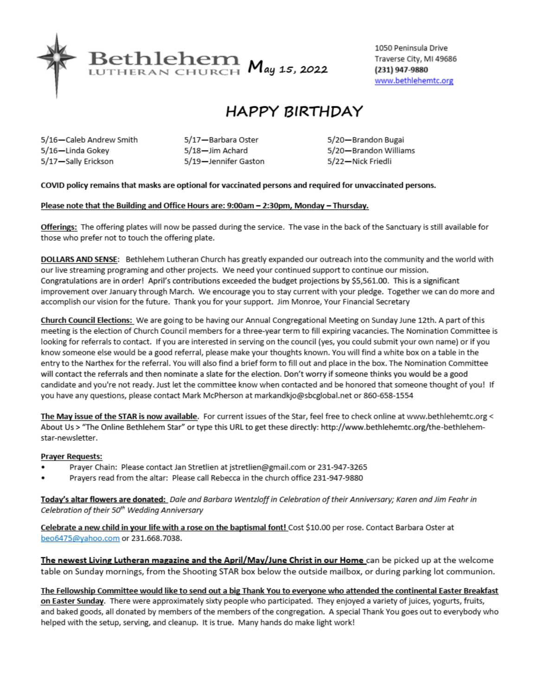

# **HAPPY BIRTHDAY**

5/16-Caleb Andrew Smith 5/16-Linda Gokey 5/17-Sally Erickson

5/17-Barbara Oster 5/18-Jim Achard 5/19-Jennifer Gaston 5/20-Brandon Bugai 5/20-Brandon Williams 5/22-Nick Friedli

#### COVID policy remains that masks are optional for vaccinated persons and required for unvaccinated persons.

#### Please note that the Building and Office Hours are: 9:00am - 2:30pm, Monday - Thursday.

Offerings: The offering plates will now be passed during the service. The vase in the back of the Sanctuary is still available for those who prefer not to touch the offering plate.

DOLLARS AND SENSE: Bethlehem Lutheran Church has greatly expanded our outreach into the community and the world with our live streaming programing and other projects. We need your continued support to continue our mission. Congratulations are in order! April's contributions exceeded the budget projections by \$5,561.00. This is a significant improvement over January through March. We encourage you to stay current with your pledge. Together we can do more and accomplish our vision for the future. Thank you for your support. Jim Monroe, Your Financial Secretary

Church Council Elections: We are going to be having our Annual Congregational Meeting on Sunday June 12th. A part of this meeting is the election of Church Council members for a three-year term to fill expiring vacancies. The Nomination Committee is looking for referrals to contact. If you are interested in serving on the council (yes, you could submit your own name) or if you know someone else would be a good referral, please make your thoughts known. You will find a white box on a table in the entry to the Narthex for the referral. You will also find a brief form to fill out and place in the box. The Nomination Committee will contact the referrals and then nominate a slate for the election. Don't worry if someone thinks you would be a good candidate and you're not ready. Just let the committee know when contacted and be honored that someone thought of you! If you have any questions, please contact Mark McPherson at markandkjo@sbcglobal.net or 860-658-1554

The May issue of the STAR is now available. For current issues of the Star, feel free to check online at www.bethlehemtc.org < About Us > "The Online Bethlehem Star" or type this URL to get these directly: http://www.bethlehemtc.org/the-bethlehemstar-newsletter.

#### **Prayer Requests:**

- Prayer Chain: Please contact Jan Stretlien at jstretlien@gmail.com or 231-947-3265
- Prayers read from the altar: Please call Rebecca in the church office 231-947-9880

Today's altar flowers are donated: Dale and Barbara Wentzloff in Celebration of their Anniversary; Karen and Jim Feahr in Celebration of their 50<sup>th</sup> Wedding Anniversary

Celebrate a new child in your life with a rose on the baptismal font! Cost \$10.00 per rose. Contact Barbara Oster at beo6475@yahoo.com or 231.668.7038.

The newest Living Lutheran magazine and the April/May/June Christ in our Home can be picked up at the welcome table on Sunday mornings, from the Shooting STAR box below the outside mailbox, or during parking lot communion.

The Fellowship Committee would like to send out a big Thank You to everyone who attended the continental Easter Breakfast on Easter Sunday. There were approximately sixty people who participated. They enjoyed a variety of juices, yogurts, fruits, and baked goods, all donated by members of the members of the congregation. A special Thank You goes out to everybody who helped with the setup, serving, and cleanup. It is true. Many hands do make light work!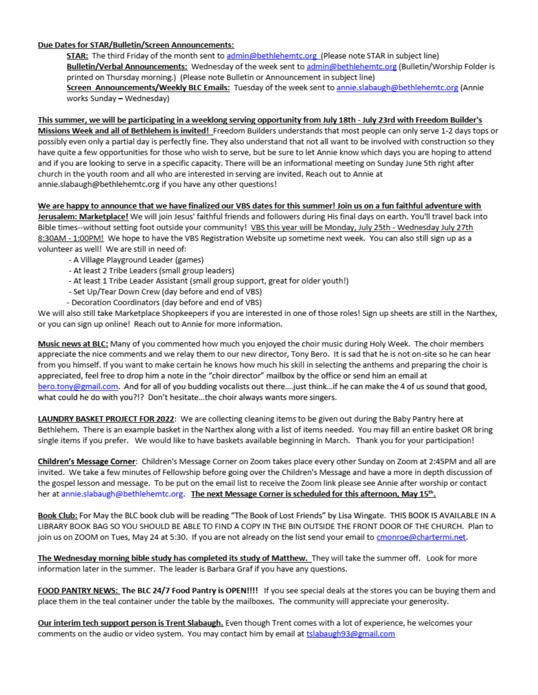#### Due Dates for STAR/Bulletin/Screen Announcements:

STAR: The third Friday of the month sent to admin@bethlehemtc.org (Please note STAR in subject line) Bulletin/Verbal Announcements: Wednesday of the week sent to admin@bethlehemtc.org (Bulletin/Worship Folder is printed on Thursday morning.) (Please note Bulletin or Announcement in subject line) Screen Announcements/Weekly BLC Emails: Tuesday of the week sent to annie.slabaugh@bethlehemtc.org (Annie works Sunday - Wednesday)

This summer, we will be participating in a weeklong serving opportunity from July 18th - July 23rd with Freedom Builder's Missions Week and all of Bethlehem is invited! Freedom Builders understands that most people can only serve 1-2 days tops or possibly even only a partial day is perfectly fine. They also understand that not all want to be involved with construction so they have quite a few opportunities for those who wish to serve, but be sure to let Annie know which days you are hoping to attend and if you are looking to serve in a specific capacity. There will be an informational meeting on Sunday June 5th right after church in the youth room and all who are interested in serving are invited. Reach out to Annie at annie.slabaugh@bethlehemtc.org if you have any other questions!

We are happy to announce that we have finalized our VBS dates for this summer! Join us on a fun faithful adventure with Jerusalem: Marketplace! We will join Jesus' faithful friends and followers during His final days on earth. You'll travel back into Bible times--without setting foot outside your community! VBS this year will be Monday, July 25th - Wednesday July 27th 8:30AM - 1:00PM! We hope to have the VBS Registration Website up sometime next week. You can also still sign up as a volunteer as well! We are still in need of:

- A Village Playground Leader (games)
- At least 2 Tribe Leaders (small group leaders)
- At least 1 Tribe Leader Assistant (small group support, great for older youth!)
- Set Up/Tear Down Crew (day before and end of VBS)
- Decoration Coordinators (day before and end of VBS)

We will also still take Marketplace Shopkeepers if you are interested in one of those roles! Sign up sheets are still in the Narthex, or you can sign up online! Reach out to Annie for more information.

Music news at BLC: Many of you commented how much you enjoyed the choir music during Holy Week. The choir members appreciate the nice comments and we relay them to our new director, Tony Bero. It is sad that he is not on-site so he can hear from you himself. If you want to make certain he knows how much his skill in selecting the anthems and preparing the choir is appreciated, feel free to drop him a note in the "choir director" mailbox by the office or send him an email at bero.tony@gmail.com. And for all of you budding vocalists out there....just think...if he can make the 4 of us sound that good, what could he do with you?!? Don't hesitate...the choir always wants more singers.

LAUNDRY BASKET PROJECT FOR 2022: We are collecting cleaning items to be given out during the Baby Pantry here at Bethlehem. There is an example basket in the Narthex along with a list of items needed. You may fill an entire basket OR bring single items if you prefer. We would like to have baskets available beginning in March. Thank you for your participation!

Children's Message Corner: Children's Message Corner on Zoom takes place every other Sunday on Zoom at 2:45PM and all are invited. We take a few minutes of Fellowship before going over the Children's Message and have a more in depth discussion of the gospel lesson and message. To be put on the email list to receive the Zoom link please see Annie after worship or contact her at annie.slabaugh@bethlehemtc.org. The next Message Corner is scheduled for this afternoon, May 15<sup>th</sup>.

Book Club: For May the BLC book club will be reading "The Book of Lost Friends" by Lisa Wingate. THIS BOOK IS AVAILABLE IN A LIBRARY BOOK BAG SO YOU SHOULD BE ABLE TO FIND A COPY IN THE BIN OUTSIDE THE FRONT DOOR OF THE CHURCH. Plan to join us on ZOOM on Tues, May 24 at 5:30. If you are not already on the list send your email to cmonroe@chartermi.net.

The Wednesday morning bible study has completed its study of Matthew. They will take the summer off. Look for more information later in the summer. The leader is Barbara Graf if you have any questions.

FOOD PANTRY NEWS: The BLC 24/7 Food Pantry is OPEN!!!! If you see special deals at the stores you can be buying them and place them in the teal container under the table by the mailboxes. The community will appreciate your generosity.

Our interim tech support person is Trent Slabaugh. Even though Trent comes with a lot of experience, he welcomes your comments on the audio or video system. You may contact him by email at tslabaugh93@gmail.com